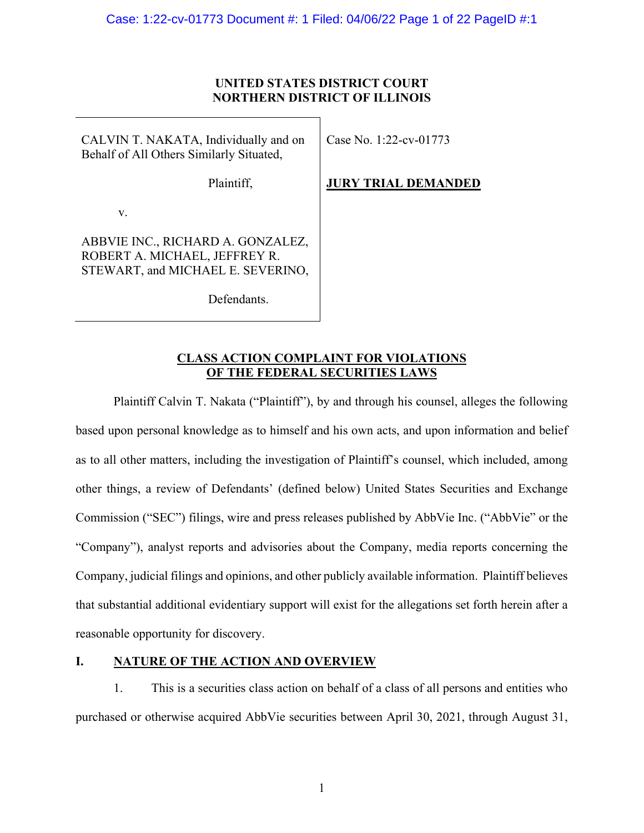## **UNITED STATES DISTRICT COURT NORTHERN DISTRICT OF ILLINOIS**

CALVIN T. NAKATA, Individually and on Behalf of All Others Similarly Situated,

Plaintiff,

Case No. 1:22-cv-01773

**JURY TRIAL DEMANDED** 

v.

ABBVIE INC., RICHARD A. GONZALEZ, ROBERT A. MICHAEL, JEFFREY R. STEWART, and MICHAEL E. SEVERINO,

Defendants.

## **CLASS ACTION COMPLAINT FOR VIOLATIONS OF THE FEDERAL SECURITIES LAWS**

Plaintiff Calvin T. Nakata ("Plaintiff"), by and through his counsel, alleges the following based upon personal knowledge as to himself and his own acts, and upon information and belief as to all other matters, including the investigation of Plaintiff's counsel, which included, among other things, a review of Defendants' (defined below) United States Securities and Exchange Commission ("SEC") filings, wire and press releases published by AbbVie Inc. ("AbbVie" or the "Company"), analyst reports and advisories about the Company, media reports concerning the Company, judicial filings and opinions, and other publicly available information. Plaintiff believes that substantial additional evidentiary support will exist for the allegations set forth herein after a reasonable opportunity for discovery.

## **I. NATURE OF THE ACTION AND OVERVIEW**

1. This is a securities class action on behalf of a class of all persons and entities who purchased or otherwise acquired AbbVie securities between April 30, 2021, through August 31,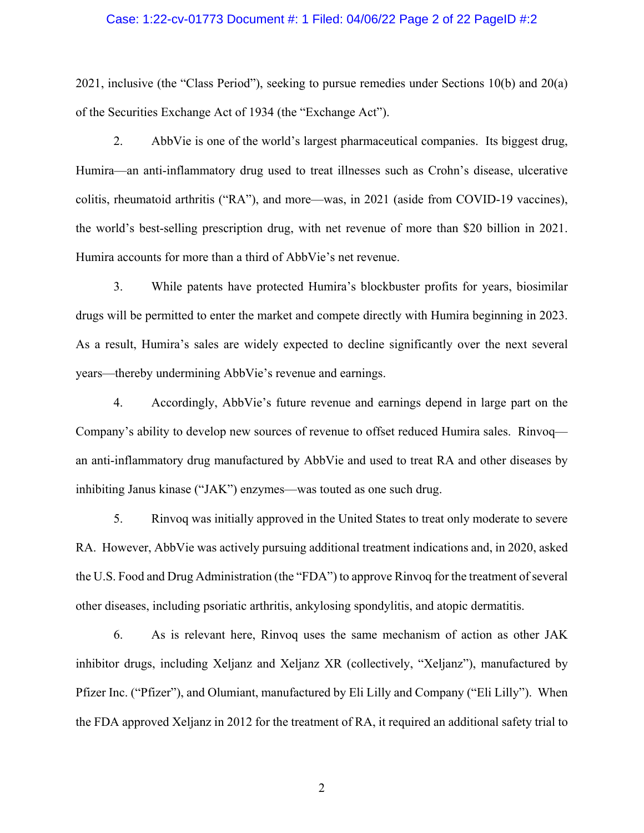#### Case: 1:22-cv-01773 Document #: 1 Filed: 04/06/22 Page 2 of 22 PageID #:2

2021, inclusive (the "Class Period"), seeking to pursue remedies under Sections 10(b) and 20(a) of the Securities Exchange Act of 1934 (the "Exchange Act").

2. AbbVie is one of the world's largest pharmaceutical companies. Its biggest drug, Humira—an anti-inflammatory drug used to treat illnesses such as Crohn's disease, ulcerative colitis, rheumatoid arthritis ("RA"), and more—was, in 2021 (aside from COVID-19 vaccines), the world's best-selling prescription drug, with net revenue of more than \$20 billion in 2021. Humira accounts for more than a third of AbbVie's net revenue.

3. While patents have protected Humira's blockbuster profits for years, biosimilar drugs will be permitted to enter the market and compete directly with Humira beginning in 2023. As a result, Humira's sales are widely expected to decline significantly over the next several years—thereby undermining AbbVie's revenue and earnings.

4. Accordingly, AbbVie's future revenue and earnings depend in large part on the Company's ability to develop new sources of revenue to offset reduced Humira sales. Rinvoq an anti-inflammatory drug manufactured by AbbVie and used to treat RA and other diseases by inhibiting Janus kinase ("JAK") enzymes—was touted as one such drug.

5. Rinvoq was initially approved in the United States to treat only moderate to severe RA. However, AbbVie was actively pursuing additional treatment indications and, in 2020, asked the U.S. Food and Drug Administration (the "FDA") to approve Rinvoq for the treatment of several other diseases, including psoriatic arthritis, ankylosing spondylitis, and atopic dermatitis.

6. As is relevant here, Rinvoq uses the same mechanism of action as other JAK inhibitor drugs, including Xeljanz and Xeljanz XR (collectively, "Xeljanz"), manufactured by Pfizer Inc. ("Pfizer"), and Olumiant, manufactured by Eli Lilly and Company ("Eli Lilly"). When the FDA approved Xeljanz in 2012 for the treatment of RA, it required an additional safety trial to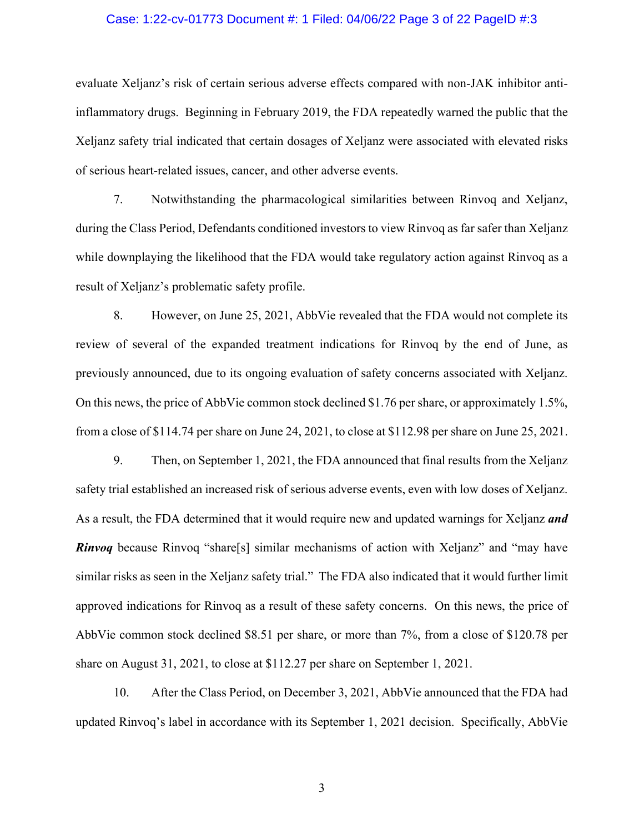#### Case: 1:22-cv-01773 Document #: 1 Filed: 04/06/22 Page 3 of 22 PageID #:3

evaluate Xeljanz's risk of certain serious adverse effects compared with non-JAK inhibitor antiinflammatory drugs. Beginning in February 2019, the FDA repeatedly warned the public that the Xeljanz safety trial indicated that certain dosages of Xeljanz were associated with elevated risks of serious heart-related issues, cancer, and other adverse events.

7. Notwithstanding the pharmacological similarities between Rinvoq and Xeljanz, during the Class Period, Defendants conditioned investors to view Rinvoq as far safer than Xeljanz while downplaying the likelihood that the FDA would take regulatory action against Rinvoq as a result of Xeljanz's problematic safety profile.

8. However, on June 25, 2021, AbbVie revealed that the FDA would not complete its review of several of the expanded treatment indications for Rinvoq by the end of June, as previously announced, due to its ongoing evaluation of safety concerns associated with Xeljanz. On this news, the price of AbbVie common stock declined \$1.76 per share, or approximately 1.5%, from a close of \$114.74 per share on June 24, 2021, to close at \$112.98 per share on June 25, 2021.

9. Then, on September 1, 2021, the FDA announced that final results from the Xeljanz safety trial established an increased risk of serious adverse events, even with low doses of Xeljanz. As a result, the FDA determined that it would require new and updated warnings for Xeljanz *and Rinvoq* because Rinvoq "share[s] similar mechanisms of action with Xeljanz" and "may have similar risks as seen in the Xeljanz safety trial." The FDA also indicated that it would further limit approved indications for Rinvoq as a result of these safety concerns. On this news, the price of AbbVie common stock declined \$8.51 per share, or more than 7%, from a close of \$120.78 per share on August 31, 2021, to close at \$112.27 per share on September 1, 2021.

10. After the Class Period, on December 3, 2021, AbbVie announced that the FDA had updated Rinvoq's label in accordance with its September 1, 2021 decision. Specifically, AbbVie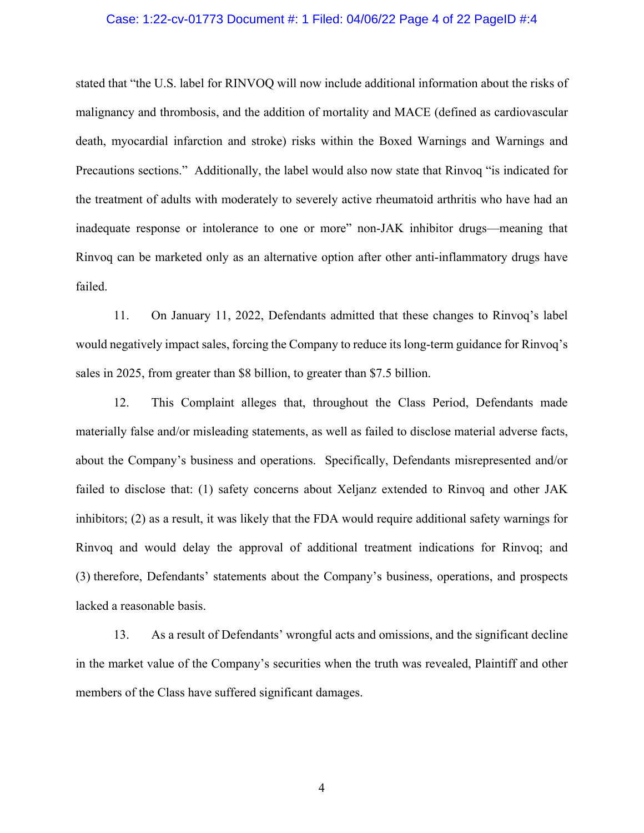#### Case: 1:22-cv-01773 Document #: 1 Filed: 04/06/22 Page 4 of 22 PageID #:4

stated that "the U.S. label for RINVOQ will now include additional information about the risks of malignancy and thrombosis, and the addition of mortality and MACE (defined as cardiovascular death, myocardial infarction and stroke) risks within the Boxed Warnings and Warnings and Precautions sections." Additionally, the label would also now state that Rinvoq "is indicated for the treatment of adults with moderately to severely active rheumatoid arthritis who have had an inadequate response or intolerance to one or more" non-JAK inhibitor drugs—meaning that Rinvoq can be marketed only as an alternative option after other anti-inflammatory drugs have failed.

11. On January 11, 2022, Defendants admitted that these changes to Rinvoq's label would negatively impact sales, forcing the Company to reduce its long-term guidance for Rinvoq's sales in 2025, from greater than \$8 billion, to greater than \$7.5 billion.

12. This Complaint alleges that, throughout the Class Period, Defendants made materially false and/or misleading statements, as well as failed to disclose material adverse facts, about the Company's business and operations. Specifically, Defendants misrepresented and/or failed to disclose that: (1) safety concerns about Xeljanz extended to Rinvoq and other JAK inhibitors; (2) as a result, it was likely that the FDA would require additional safety warnings for Rinvoq and would delay the approval of additional treatment indications for Rinvoq; and (3) therefore, Defendants' statements about the Company's business, operations, and prospects lacked a reasonable basis.

13. As a result of Defendants' wrongful acts and omissions, and the significant decline in the market value of the Company's securities when the truth was revealed, Plaintiff and other members of the Class have suffered significant damages.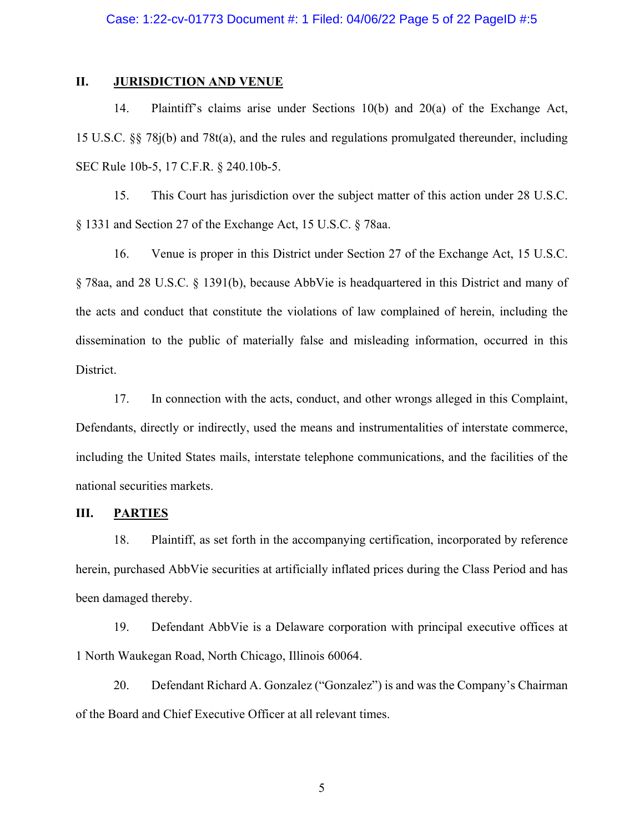#### Case: 1:22-cv-01773 Document #: 1 Filed: 04/06/22 Page 5 of 22 PageID #:5

## **II. JURISDICTION AND VENUE**

14. Plaintiff's claims arise under Sections 10(b) and 20(a) of the Exchange Act, 15 U.S.C. §§ 78j(b) and 78t(a), and the rules and regulations promulgated thereunder, including SEC Rule 10b-5, 17 C.F.R. § 240.10b-5.

15. This Court has jurisdiction over the subject matter of this action under 28 U.S.C. § 1331 and Section 27 of the Exchange Act, 15 U.S.C. § 78aa.

16. Venue is proper in this District under Section 27 of the Exchange Act, 15 U.S.C. § 78aa, and 28 U.S.C. § 1391(b), because AbbVie is headquartered in this District and many of the acts and conduct that constitute the violations of law complained of herein, including the dissemination to the public of materially false and misleading information, occurred in this District.

17. In connection with the acts, conduct, and other wrongs alleged in this Complaint, Defendants, directly or indirectly, used the means and instrumentalities of interstate commerce, including the United States mails, interstate telephone communications, and the facilities of the national securities markets.

#### **III. PARTIES**

18. Plaintiff, as set forth in the accompanying certification, incorporated by reference herein, purchased AbbVie securities at artificially inflated prices during the Class Period and has been damaged thereby.

19. Defendant AbbVie is a Delaware corporation with principal executive offices at 1 North Waukegan Road, North Chicago, Illinois 60064.

20. Defendant Richard A. Gonzalez ("Gonzalez") is and was the Company's Chairman of the Board and Chief Executive Officer at all relevant times.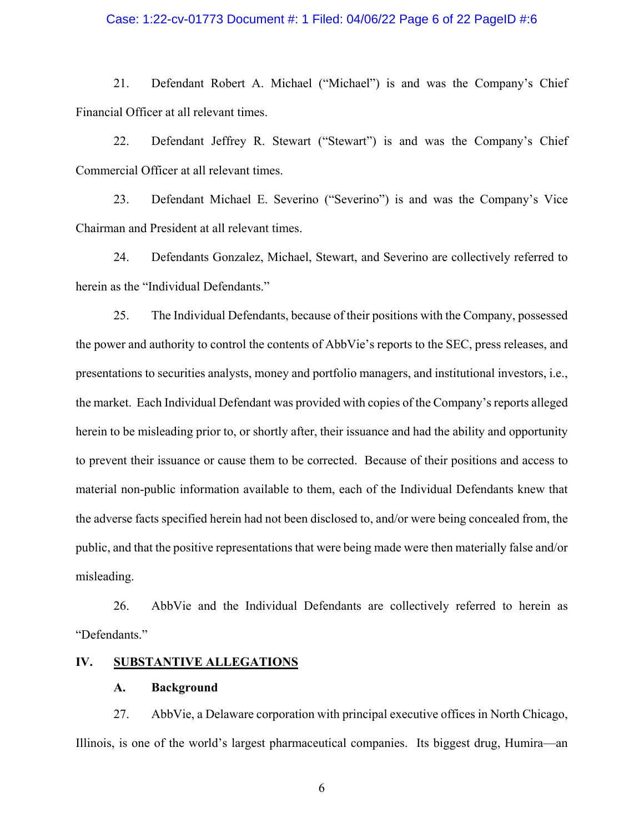#### Case: 1:22-cv-01773 Document #: 1 Filed: 04/06/22 Page 6 of 22 PageID #:6

21. Defendant Robert A. Michael ("Michael") is and was the Company's Chief Financial Officer at all relevant times.

22. Defendant Jeffrey R. Stewart ("Stewart") is and was the Company's Chief Commercial Officer at all relevant times.

23. Defendant Michael E. Severino ("Severino") is and was the Company's Vice Chairman and President at all relevant times.

24. Defendants Gonzalez, Michael, Stewart, and Severino are collectively referred to herein as the "Individual Defendants."

25. The Individual Defendants, because of their positions with the Company, possessed the power and authority to control the contents of AbbVie's reports to the SEC, press releases, and presentations to securities analysts, money and portfolio managers, and institutional investors, i.e., the market. Each Individual Defendant was provided with copies of the Company's reports alleged herein to be misleading prior to, or shortly after, their issuance and had the ability and opportunity to prevent their issuance or cause them to be corrected. Because of their positions and access to material non-public information available to them, each of the Individual Defendants knew that the adverse facts specified herein had not been disclosed to, and/or were being concealed from, the public, and that the positive representations that were being made were then materially false and/or misleading.

26. AbbVie and the Individual Defendants are collectively referred to herein as "Defendants."

## **IV. SUBSTANTIVE ALLEGATIONS**

#### **A. Background**

27. AbbVie, a Delaware corporation with principal executive offices in North Chicago, Illinois, is one of the world's largest pharmaceutical companies. Its biggest drug, Humira—an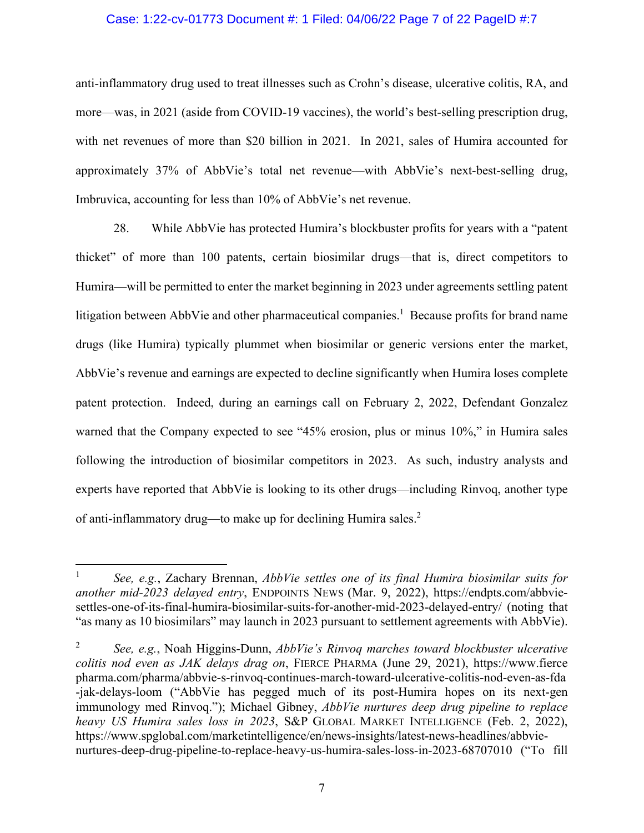#### Case: 1:22-cv-01773 Document #: 1 Filed: 04/06/22 Page 7 of 22 PageID #:7

anti-inflammatory drug used to treat illnesses such as Crohn's disease, ulcerative colitis, RA, and more—was, in 2021 (aside from COVID-19 vaccines), the world's best-selling prescription drug, with net revenues of more than \$20 billion in 2021. In 2021, sales of Humira accounted for approximately 37% of AbbVie's total net revenue—with AbbVie's next-best-selling drug, Imbruvica, accounting for less than 10% of AbbVie's net revenue.

28. While AbbVie has protected Humira's blockbuster profits for years with a "patent thicket" of more than 100 patents, certain biosimilar drugs—that is, direct competitors to Humira—will be permitted to enter the market beginning in 2023 under agreements settling patent litigation between AbbVie and other pharmaceutical companies.<sup>1</sup> Because profits for brand name drugs (like Humira) typically plummet when biosimilar or generic versions enter the market, AbbVie's revenue and earnings are expected to decline significantly when Humira loses complete patent protection. Indeed, during an earnings call on February 2, 2022, Defendant Gonzalez warned that the Company expected to see "45% erosion, plus or minus 10%," in Humira sales following the introduction of biosimilar competitors in 2023. As such, industry analysts and experts have reported that AbbVie is looking to its other drugs—including Rinvoq, another type of anti-inflammatory drug—to make up for declining Humira sales.2

 $\overline{a}$ 

<sup>1</sup> *See, e.g.*, Zachary Brennan, *AbbVie settles one of its final Humira biosimilar suits for another mid-2023 delayed entry*, ENDPOINTS NEWS (Mar. 9, 2022), https://endpts.com/abbviesettles-one-of-its-final-humira-biosimilar-suits-for-another-mid-2023-delayed-entry/ (noting that "as many as 10 biosimilars" may launch in 2023 pursuant to settlement agreements with AbbVie).

<sup>2</sup> *See, e.g.*, Noah Higgins-Dunn, *AbbVie's Rinvoq marches toward blockbuster ulcerative colitis nod even as JAK delays drag on*, FIERCE PHARMA (June 29, 2021), https://www.fierce pharma.com/pharma/abbvie-s-rinvoq-continues-march-toward-ulcerative-colitis-nod-even-as-fda -jak-delays-loom ("AbbVie has pegged much of its post-Humira hopes on its next-gen immunology med Rinvoq."); Michael Gibney, *AbbVie nurtures deep drug pipeline to replace heavy US Humira sales loss in 2023*, S&P GLOBAL MARKET INTELLIGENCE (Feb. 2, 2022), https://www.spglobal.com/marketintelligence/en/news-insights/latest-news-headlines/abbvienurtures-deep-drug-pipeline-to-replace-heavy-us-humira-sales-loss-in-2023-68707010 ("To fill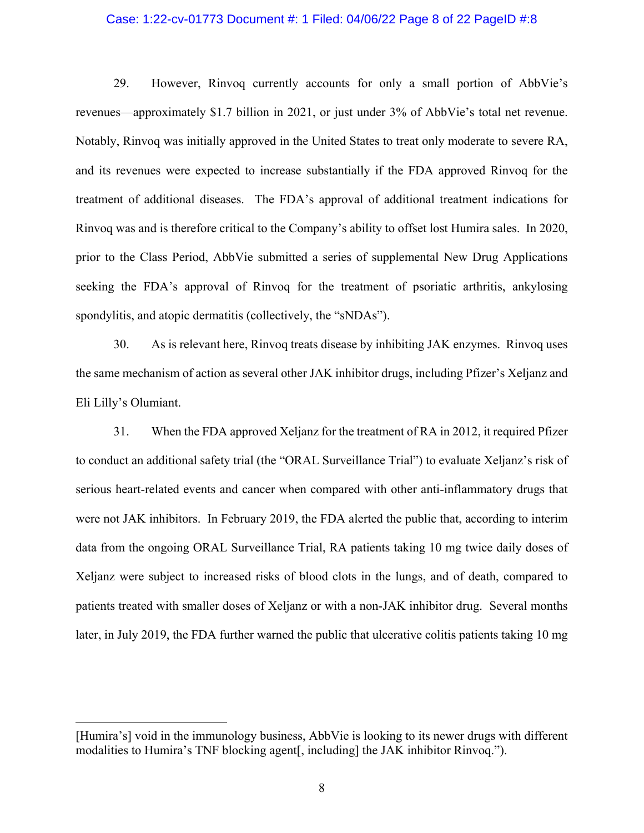#### Case: 1:22-cv-01773 Document #: 1 Filed: 04/06/22 Page 8 of 22 PageID #:8

29. However, Rinvoq currently accounts for only a small portion of AbbVie's revenues—approximately \$1.7 billion in 2021, or just under 3% of AbbVie's total net revenue. Notably, Rinvoq was initially approved in the United States to treat only moderate to severe RA, and its revenues were expected to increase substantially if the FDA approved Rinvoq for the treatment of additional diseases. The FDA's approval of additional treatment indications for Rinvoq was and is therefore critical to the Company's ability to offset lost Humira sales. In 2020, prior to the Class Period, AbbVie submitted a series of supplemental New Drug Applications seeking the FDA's approval of Rinvoq for the treatment of psoriatic arthritis, ankylosing spondylitis, and atopic dermatitis (collectively, the "sNDAs").

30. As is relevant here, Rinvoq treats disease by inhibiting JAK enzymes. Rinvoq uses the same mechanism of action as several other JAK inhibitor drugs, including Pfizer's Xeljanz and Eli Lilly's Olumiant.

31. When the FDA approved Xeljanz for the treatment of RA in 2012, it required Pfizer to conduct an additional safety trial (the "ORAL Surveillance Trial") to evaluate Xeljanz's risk of serious heart-related events and cancer when compared with other anti-inflammatory drugs that were not JAK inhibitors. In February 2019, the FDA alerted the public that, according to interim data from the ongoing ORAL Surveillance Trial, RA patients taking 10 mg twice daily doses of Xeljanz were subject to increased risks of blood clots in the lungs, and of death, compared to patients treated with smaller doses of Xeljanz or with a non-JAK inhibitor drug. Several months later, in July 2019, the FDA further warned the public that ulcerative colitis patients taking 10 mg

 $\overline{a}$ 

<sup>[</sup>Humira's] void in the immunology business, AbbVie is looking to its newer drugs with different modalities to Humira's TNF blocking agent[, including] the JAK inhibitor Rinvoq.").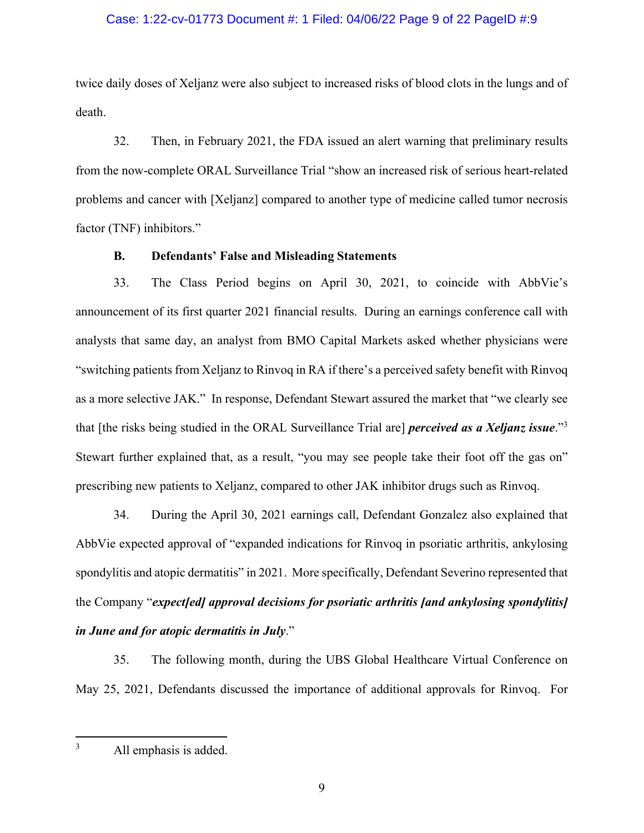#### Case: 1:22-cv-01773 Document #: 1 Filed: 04/06/22 Page 9 of 22 PageID #:9

twice daily doses of Xeljanz were also subject to increased risks of blood clots in the lungs and of death.

32. Then, in February 2021, the FDA issued an alert warning that preliminary results from the now-complete ORAL Surveillance Trial "show an increased risk of serious heart-related problems and cancer with [Xeljanz] compared to another type of medicine called tumor necrosis factor (TNF) inhibitors."

#### **B. Defendants' False and Misleading Statements**

33. The Class Period begins on April 30, 2021, to coincide with AbbVie's announcement of its first quarter 2021 financial results. During an earnings conference call with analysts that same day, an analyst from BMO Capital Markets asked whether physicians were "switching patients from Xeljanz to Rinvoq in RA if there's a perceived safety benefit with Rinvoq as a more selective JAK." In response, Defendant Stewart assured the market that "we clearly see that [the risks being studied in the ORAL Surveillance Trial are] *perceived as a Xeljanz issue*."3 Stewart further explained that, as a result, "you may see people take their foot off the gas on" prescribing new patients to Xeljanz, compared to other JAK inhibitor drugs such as Rinvoq.

34. During the April 30, 2021 earnings call, Defendant Gonzalez also explained that AbbVie expected approval of "expanded indications for Rinvoq in psoriatic arthritis, ankylosing spondylitis and atopic dermatitis" in 2021. More specifically, Defendant Severino represented that the Company "*expect[ed] approval decisions for psoriatic arthritis [and ankylosing spondylitis] in June and for atopic dermatitis in July*."

35. The following month, during the UBS Global Healthcare Virtual Conference on May 25, 2021, Defendants discussed the importance of additional approvals for Rinvoq. For

<u>.</u>

<sup>3</sup> All emphasis is added.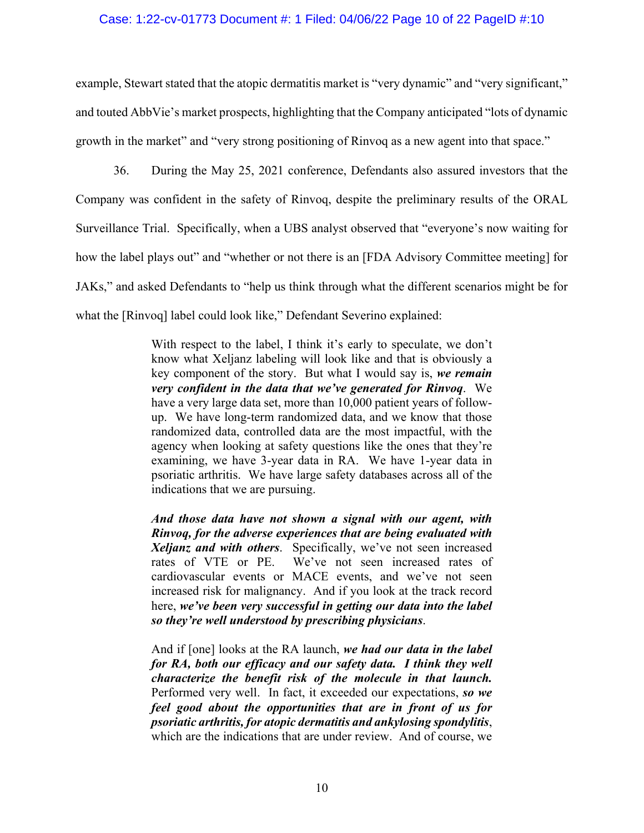#### Case: 1:22-cv-01773 Document #: 1 Filed: 04/06/22 Page 10 of 22 PageID #:10

example, Stewart stated that the atopic dermatitis market is "very dynamic" and "very significant," and touted AbbVie's market prospects, highlighting that the Company anticipated "lots of dynamic growth in the market" and "very strong positioning of Rinvoq as a new agent into that space."

36. During the May 25, 2021 conference, Defendants also assured investors that the Company was confident in the safety of Rinvoq, despite the preliminary results of the ORAL Surveillance Trial. Specifically, when a UBS analyst observed that "everyone's now waiting for how the label plays out" and "whether or not there is an [FDA Advisory Committee meeting] for JAKs," and asked Defendants to "help us think through what the different scenarios might be for what the [Rinvoq] label could look like," Defendant Severino explained:

> With respect to the label, I think it's early to speculate, we don't know what Xeljanz labeling will look like and that is obviously a key component of the story. But what I would say is, *we remain very confident in the data that we've generated for Rinvoq*. We have a very large data set, more than 10,000 patient years of followup. We have long-term randomized data, and we know that those randomized data, controlled data are the most impactful, with the agency when looking at safety questions like the ones that they're examining, we have 3-year data in RA. We have 1-year data in psoriatic arthritis. We have large safety databases across all of the indications that we are pursuing.

> *And those data have not shown a signal with our agent, with Rinvoq, for the adverse experiences that are being evaluated with Xeljanz and with others*. Specifically, we've not seen increased rates of VTE or PE. We've not seen increased rates of cardiovascular events or MACE events, and we've not seen increased risk for malignancy. And if you look at the track record here, *we've been very successful in getting our data into the label so they're well understood by prescribing physicians*.

> And if [one] looks at the RA launch, *we had our data in the label for RA, both our efficacy and our safety data. I think they well characterize the benefit risk of the molecule in that launch.* Performed very well. In fact, it exceeded our expectations, *so we feel good about the opportunities that are in front of us for psoriatic arthritis, for atopic dermatitis and ankylosing spondylitis*, which are the indications that are under review. And of course, we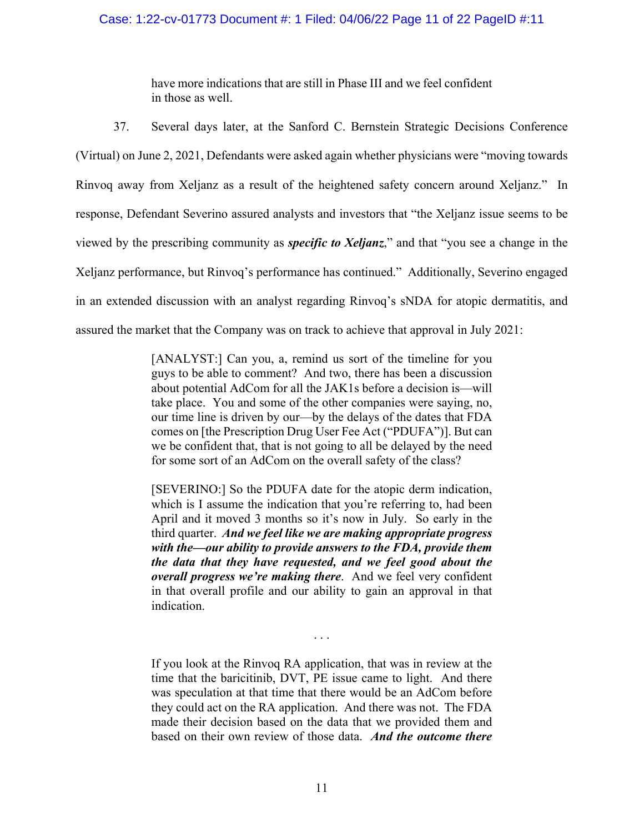## Case: 1:22-cv-01773 Document #: 1 Filed: 04/06/22 Page 11 of 22 PageID #:11

have more indications that are still in Phase III and we feel confident in those as well.

37. Several days later, at the Sanford C. Bernstein Strategic Decisions Conference (Virtual) on June 2, 2021, Defendants were asked again whether physicians were "moving towards Rinvoq away from Xeljanz as a result of the heightened safety concern around Xeljanz." In response, Defendant Severino assured analysts and investors that "the Xeljanz issue seems to be viewed by the prescribing community as *specific to Xeljanz*," and that "you see a change in the Xeljanz performance, but Rinvoq's performance has continued." Additionally, Severino engaged in an extended discussion with an analyst regarding Rinvoq's sNDA for atopic dermatitis, and assured the market that the Company was on track to achieve that approval in July 2021:

> [ANALYST:] Can you, a, remind us sort of the timeline for you guys to be able to comment? And two, there has been a discussion about potential AdCom for all the JAK1s before a decision is—will take place. You and some of the other companies were saying, no, our time line is driven by our—by the delays of the dates that FDA comes on [the Prescription Drug User Fee Act ("PDUFA")]. But can we be confident that, that is not going to all be delayed by the need for some sort of an AdCom on the overall safety of the class?

> [SEVERINO:] So the PDUFA date for the atopic derm indication, which is I assume the indication that you're referring to, had been April and it moved 3 months so it's now in July. So early in the third quarter. *And we feel like we are making appropriate progress with the—our ability to provide answers to the FDA, provide them the data that they have requested, and we feel good about the overall progress we're making there*. And we feel very confident in that overall profile and our ability to gain an approval in that indication.

> If you look at the Rinvoq RA application, that was in review at the time that the baricitinib, DVT, PE issue came to light. And there was speculation at that time that there would be an AdCom before they could act on the RA application. And there was not. The FDA made their decision based on the data that we provided them and based on their own review of those data. *And the outcome there*

. . .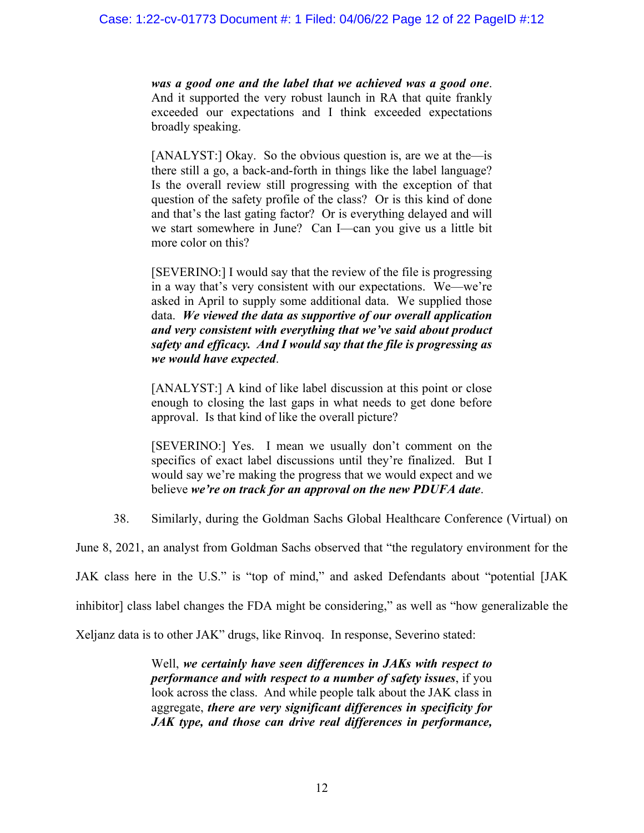*was a good one and the label that we achieved was a good one*. And it supported the very robust launch in RA that quite frankly exceeded our expectations and I think exceeded expectations broadly speaking.

[ANALYST:] Okay. So the obvious question is, are we at the—is there still a go, a back-and-forth in things like the label language? Is the overall review still progressing with the exception of that question of the safety profile of the class? Or is this kind of done and that's the last gating factor? Or is everything delayed and will we start somewhere in June? Can I—can you give us a little bit more color on this?

[SEVERINO:] I would say that the review of the file is progressing in a way that's very consistent with our expectations. We—we're asked in April to supply some additional data. We supplied those data. *We viewed the data as supportive of our overall application and very consistent with everything that we've said about product safety and efficacy. And I would say that the file is progressing as we would have expected*.

[ANALYST:] A kind of like label discussion at this point or close enough to closing the last gaps in what needs to get done before approval. Is that kind of like the overall picture?

[SEVERINO:] Yes. I mean we usually don't comment on the specifics of exact label discussions until they're finalized. But I would say we're making the progress that we would expect and we believe *we're on track for an approval on the new PDUFA date*.

38. Similarly, during the Goldman Sachs Global Healthcare Conference (Virtual) on

June 8, 2021, an analyst from Goldman Sachs observed that "the regulatory environment for the

JAK class here in the U.S." is "top of mind," and asked Defendants about "potential [JAK

inhibitor] class label changes the FDA might be considering," as well as "how generalizable the

Xeljanz data is to other JAK" drugs, like Rinvoq. In response, Severino stated:

Well, *we certainly have seen differences in JAKs with respect to performance and with respect to a number of safety issues*, if you look across the class. And while people talk about the JAK class in aggregate, *there are very significant differences in specificity for JAK type, and those can drive real differences in performance,*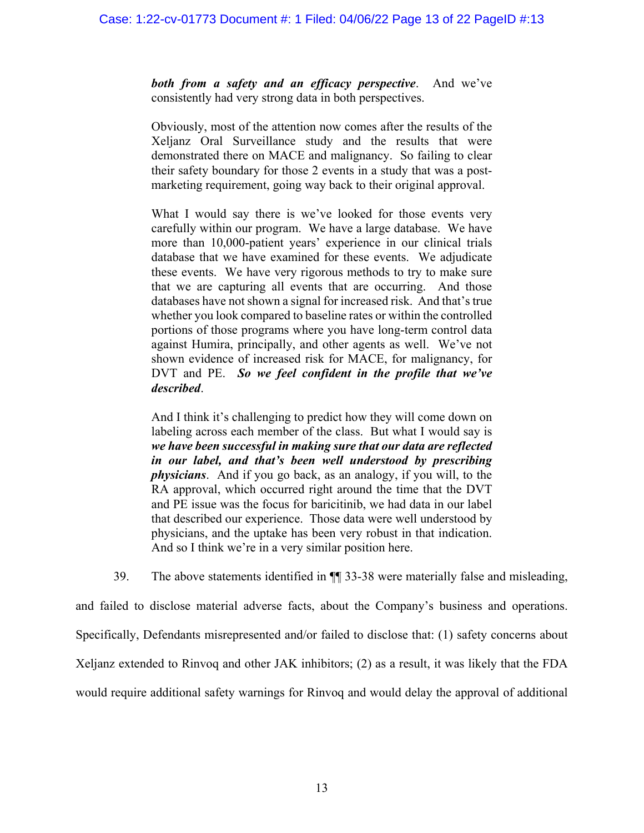*both from a safety and an efficacy perspective*. And we've consistently had very strong data in both perspectives.

Obviously, most of the attention now comes after the results of the Xeljanz Oral Surveillance study and the results that were demonstrated there on MACE and malignancy. So failing to clear their safety boundary for those 2 events in a study that was a postmarketing requirement, going way back to their original approval.

What I would say there is we've looked for those events very carefully within our program. We have a large database. We have more than 10,000-patient years' experience in our clinical trials database that we have examined for these events. We adjudicate these events. We have very rigorous methods to try to make sure that we are capturing all events that are occurring. And those databases have not shown a signal for increased risk. And that's true whether you look compared to baseline rates or within the controlled portions of those programs where you have long-term control data against Humira, principally, and other agents as well. We've not shown evidence of increased risk for MACE, for malignancy, for DVT and PE. *So we feel confident in the profile that we've described*.

And I think it's challenging to predict how they will come down on labeling across each member of the class. But what I would say is *we have been successful in making sure that our data are reflected in our label, and that's been well understood by prescribing physicians*. And if you go back, as an analogy, if you will, to the RA approval, which occurred right around the time that the DVT and PE issue was the focus for baricitinib, we had data in our label that described our experience. Those data were well understood by physicians, and the uptake has been very robust in that indication. And so I think we're in a very similar position here.

39. The above statements identified in ¶¶ 33-38 were materially false and misleading,

and failed to disclose material adverse facts, about the Company's business and operations. Specifically, Defendants misrepresented and/or failed to disclose that: (1) safety concerns about Xeljanz extended to Rinvoq and other JAK inhibitors; (2) as a result, it was likely that the FDA would require additional safety warnings for Rinvoq and would delay the approval of additional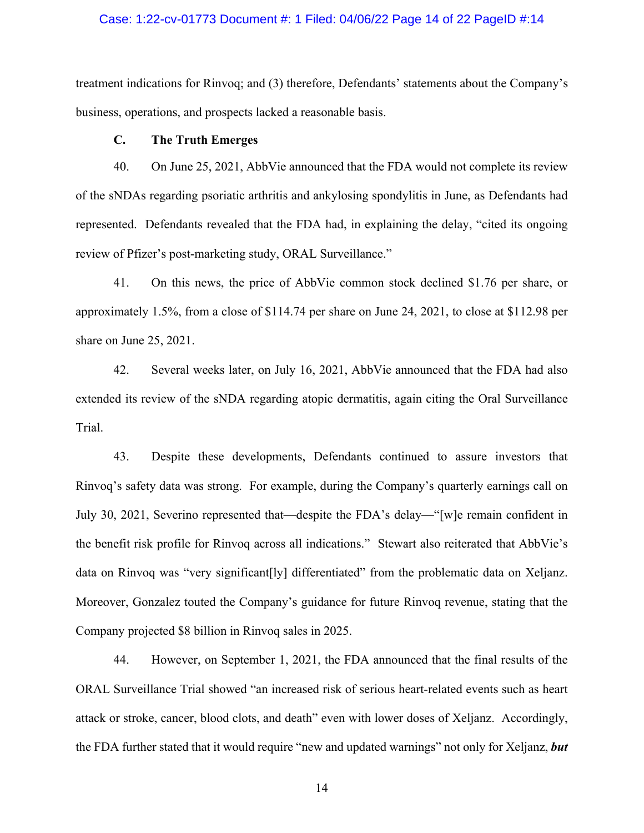#### Case: 1:22-cv-01773 Document #: 1 Filed: 04/06/22 Page 14 of 22 PageID #:14

treatment indications for Rinvoq; and (3) therefore, Defendants' statements about the Company's business, operations, and prospects lacked a reasonable basis.

## **C. The Truth Emerges**

40. On June 25, 2021, AbbVie announced that the FDA would not complete its review of the sNDAs regarding psoriatic arthritis and ankylosing spondylitis in June, as Defendants had represented. Defendants revealed that the FDA had, in explaining the delay, "cited its ongoing review of Pfizer's post-marketing study, ORAL Surveillance."

41. On this news, the price of AbbVie common stock declined \$1.76 per share, or approximately 1.5%, from a close of \$114.74 per share on June 24, 2021, to close at \$112.98 per share on June 25, 2021.

42. Several weeks later, on July 16, 2021, AbbVie announced that the FDA had also extended its review of the sNDA regarding atopic dermatitis, again citing the Oral Surveillance Trial.

43. Despite these developments, Defendants continued to assure investors that Rinvoq's safety data was strong. For example, during the Company's quarterly earnings call on July 30, 2021, Severino represented that—despite the FDA's delay—"[w]e remain confident in the benefit risk profile for Rinvoq across all indications." Stewart also reiterated that AbbVie's data on Rinvoq was "very significant[ly] differentiated" from the problematic data on Xeljanz. Moreover, Gonzalez touted the Company's guidance for future Rinvoq revenue, stating that the Company projected \$8 billion in Rinvoq sales in 2025.

44. However, on September 1, 2021, the FDA announced that the final results of the ORAL Surveillance Trial showed "an increased risk of serious heart-related events such as heart attack or stroke, cancer, blood clots, and death" even with lower doses of Xeljanz. Accordingly, the FDA further stated that it would require "new and updated warnings" not only for Xeljanz, *but*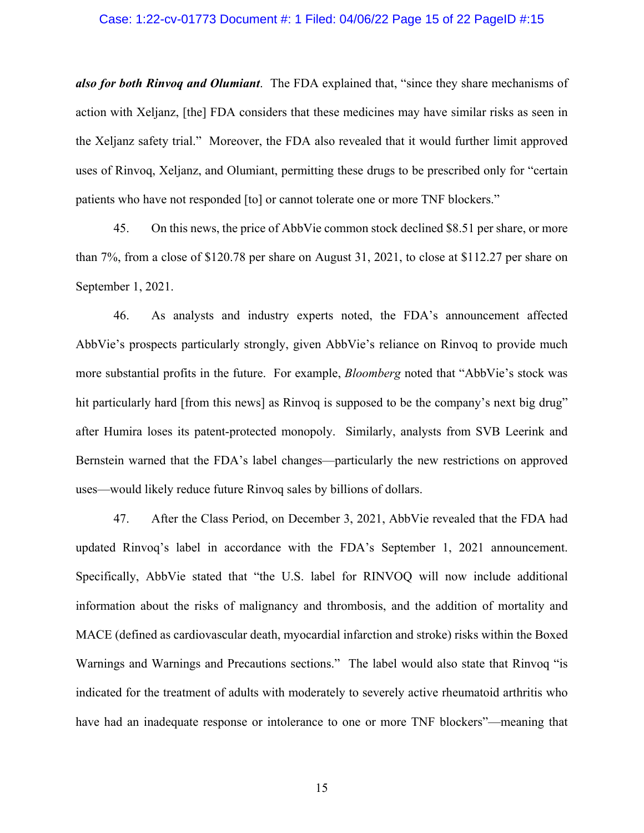#### Case: 1:22-cv-01773 Document #: 1 Filed: 04/06/22 Page 15 of 22 PageID #:15

*also for both Rinvoq and Olumiant*. The FDA explained that, "since they share mechanisms of action with Xeljanz, [the] FDA considers that these medicines may have similar risks as seen in the Xeljanz safety trial." Moreover, the FDA also revealed that it would further limit approved uses of Rinvoq, Xeljanz, and Olumiant, permitting these drugs to be prescribed only for "certain patients who have not responded [to] or cannot tolerate one or more TNF blockers."

45. On this news, the price of AbbVie common stock declined \$8.51 per share, or more than 7%, from a close of \$120.78 per share on August 31, 2021, to close at \$112.27 per share on September 1, 2021.

46. As analysts and industry experts noted, the FDA's announcement affected AbbVie's prospects particularly strongly, given AbbVie's reliance on Rinvoq to provide much more substantial profits in the future. For example, *Bloomberg* noted that "AbbVie's stock was hit particularly hard [from this news] as Rinvoq is supposed to be the company's next big drug" after Humira loses its patent-protected monopoly. Similarly, analysts from SVB Leerink and Bernstein warned that the FDA's label changes—particularly the new restrictions on approved uses—would likely reduce future Rinvoq sales by billions of dollars.

47. After the Class Period, on December 3, 2021, AbbVie revealed that the FDA had updated Rinvoq's label in accordance with the FDA's September 1, 2021 announcement. Specifically, AbbVie stated that "the U.S. label for RINVOQ will now include additional information about the risks of malignancy and thrombosis, and the addition of mortality and MACE (defined as cardiovascular death, myocardial infarction and stroke) risks within the Boxed Warnings and Warnings and Precautions sections." The label would also state that Rinvoq "is indicated for the treatment of adults with moderately to severely active rheumatoid arthritis who have had an inadequate response or intolerance to one or more TNF blockers"—meaning that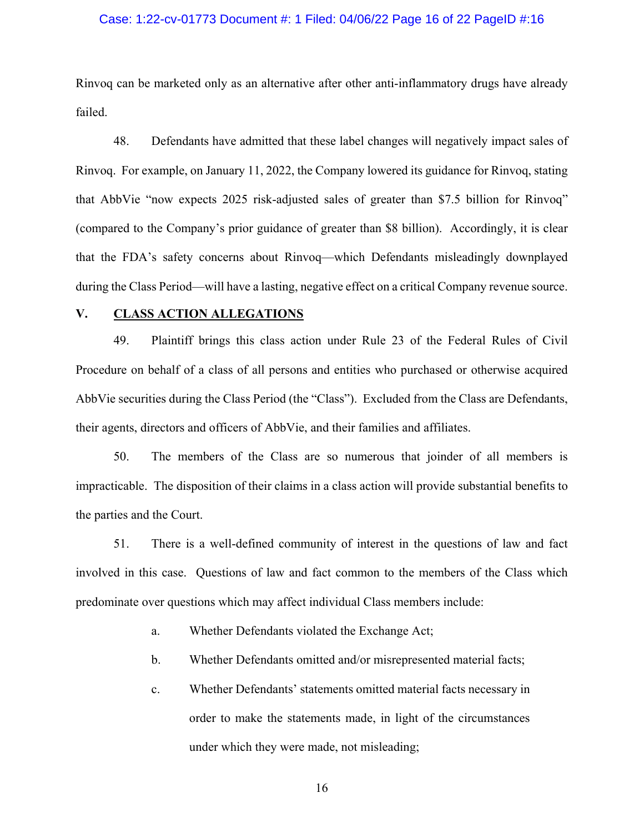#### Case: 1:22-cv-01773 Document #: 1 Filed: 04/06/22 Page 16 of 22 PageID #:16

Rinvoq can be marketed only as an alternative after other anti-inflammatory drugs have already failed.

48. Defendants have admitted that these label changes will negatively impact sales of Rinvoq. For example, on January 11, 2022, the Company lowered its guidance for Rinvoq, stating that AbbVie "now expects 2025 risk-adjusted sales of greater than \$7.5 billion for Rinvoq" (compared to the Company's prior guidance of greater than \$8 billion). Accordingly, it is clear that the FDA's safety concerns about Rinvoq—which Defendants misleadingly downplayed during the Class Period—will have a lasting, negative effect on a critical Company revenue source.

## **V. CLASS ACTION ALLEGATIONS**

49. Plaintiff brings this class action under Rule 23 of the Federal Rules of Civil Procedure on behalf of a class of all persons and entities who purchased or otherwise acquired AbbVie securities during the Class Period (the "Class"). Excluded from the Class are Defendants, their agents, directors and officers of AbbVie, and their families and affiliates.

50. The members of the Class are so numerous that joinder of all members is impracticable. The disposition of their claims in a class action will provide substantial benefits to the parties and the Court.

51. There is a well-defined community of interest in the questions of law and fact involved in this case. Questions of law and fact common to the members of the Class which predominate over questions which may affect individual Class members include:

a. Whether Defendants violated the Exchange Act;

b. Whether Defendants omitted and/or misrepresented material facts;

c. Whether Defendants' statements omitted material facts necessary in order to make the statements made, in light of the circumstances under which they were made, not misleading;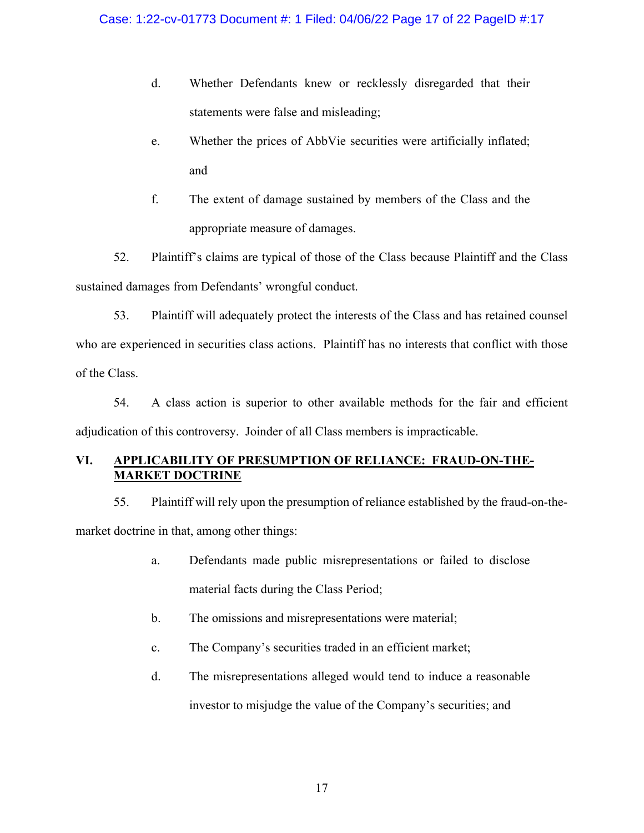- d. Whether Defendants knew or recklessly disregarded that their statements were false and misleading;
- e. Whether the prices of AbbVie securities were artificially inflated; and
- f. The extent of damage sustained by members of the Class and the appropriate measure of damages.

52. Plaintiff's claims are typical of those of the Class because Plaintiff and the Class sustained damages from Defendants' wrongful conduct.

53. Plaintiff will adequately protect the interests of the Class and has retained counsel who are experienced in securities class actions. Plaintiff has no interests that conflict with those of the Class.

54. A class action is superior to other available methods for the fair and efficient adjudication of this controversy. Joinder of all Class members is impracticable.

# **VI. APPLICABILITY OF PRESUMPTION OF RELIANCE: FRAUD-ON-THE-MARKET DOCTRINE**

55. Plaintiff will rely upon the presumption of reliance established by the fraud-on-themarket doctrine in that, among other things:

- a. Defendants made public misrepresentations or failed to disclose material facts during the Class Period;
- b. The omissions and misrepresentations were material;
- c. The Company's securities traded in an efficient market;
- d. The misrepresentations alleged would tend to induce a reasonable investor to misjudge the value of the Company's securities; and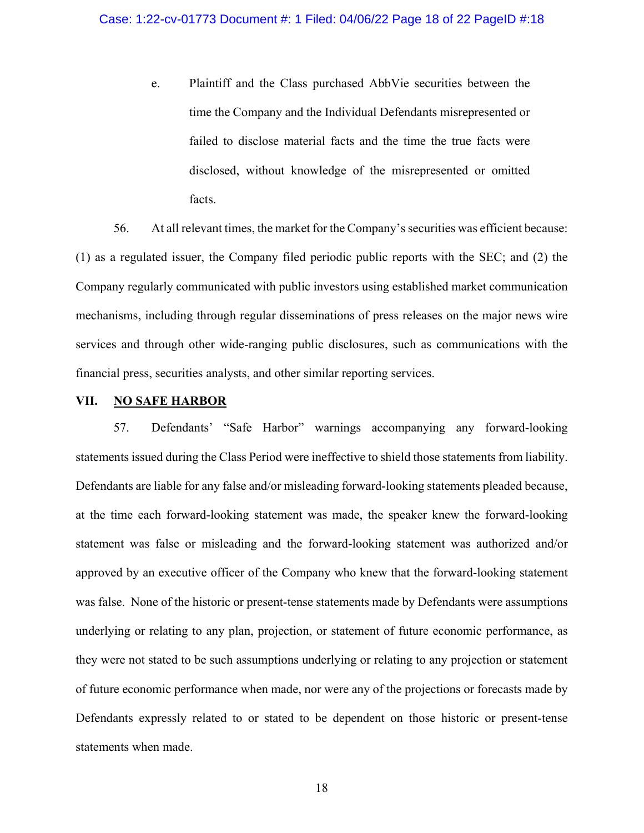e. Plaintiff and the Class purchased AbbVie securities between the time the Company and the Individual Defendants misrepresented or failed to disclose material facts and the time the true facts were disclosed, without knowledge of the misrepresented or omitted facts.

56. At all relevant times, the market for the Company's securities was efficient because: (1) as a regulated issuer, the Company filed periodic public reports with the SEC; and (2) the Company regularly communicated with public investors using established market communication mechanisms, including through regular disseminations of press releases on the major news wire services and through other wide-ranging public disclosures, such as communications with the financial press, securities analysts, and other similar reporting services.

### **VII. NO SAFE HARBOR**

57. Defendants' "Safe Harbor" warnings accompanying any forward-looking statements issued during the Class Period were ineffective to shield those statements from liability. Defendants are liable for any false and/or misleading forward-looking statements pleaded because, at the time each forward-looking statement was made, the speaker knew the forward-looking statement was false or misleading and the forward-looking statement was authorized and/or approved by an executive officer of the Company who knew that the forward-looking statement was false. None of the historic or present-tense statements made by Defendants were assumptions underlying or relating to any plan, projection, or statement of future economic performance, as they were not stated to be such assumptions underlying or relating to any projection or statement of future economic performance when made, nor were any of the projections or forecasts made by Defendants expressly related to or stated to be dependent on those historic or present-tense statements when made.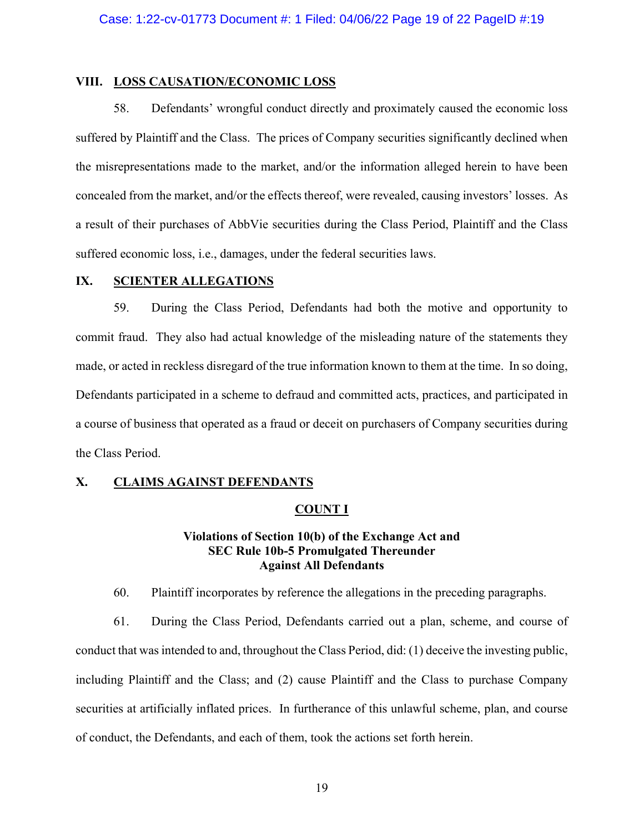## **VIII. LOSS CAUSATION/ECONOMIC LOSS**

58. Defendants' wrongful conduct directly and proximately caused the economic loss suffered by Plaintiff and the Class. The prices of Company securities significantly declined when the misrepresentations made to the market, and/or the information alleged herein to have been concealed from the market, and/or the effects thereof, were revealed, causing investors' losses. As a result of their purchases of AbbVie securities during the Class Period, Plaintiff and the Class suffered economic loss, i.e., damages, under the federal securities laws.

#### **IX. SCIENTER ALLEGATIONS**

59. During the Class Period, Defendants had both the motive and opportunity to commit fraud. They also had actual knowledge of the misleading nature of the statements they made, or acted in reckless disregard of the true information known to them at the time. In so doing, Defendants participated in a scheme to defraud and committed acts, practices, and participated in a course of business that operated as a fraud or deceit on purchasers of Company securities during the Class Period.

### **X. CLAIMS AGAINST DEFENDANTS**

#### **COUNT I**

## **Violations of Section 10(b) of the Exchange Act and SEC Rule 10b-5 Promulgated Thereunder Against All Defendants**

60. Plaintiff incorporates by reference the allegations in the preceding paragraphs.

61. During the Class Period, Defendants carried out a plan, scheme, and course of conduct that was intended to and, throughout the Class Period, did: (1) deceive the investing public, including Plaintiff and the Class; and (2) cause Plaintiff and the Class to purchase Company securities at artificially inflated prices. In furtherance of this unlawful scheme, plan, and course of conduct, the Defendants, and each of them, took the actions set forth herein.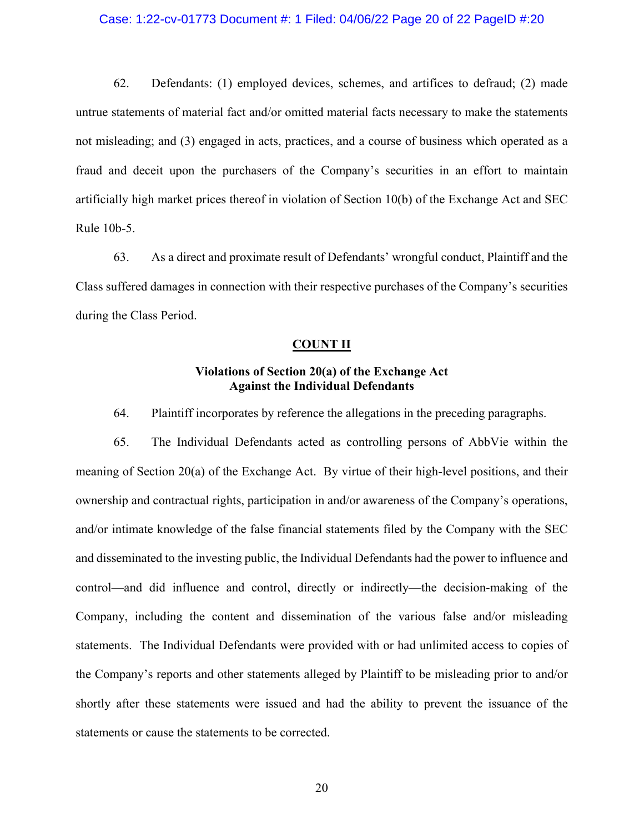#### Case: 1:22-cv-01773 Document #: 1 Filed: 04/06/22 Page 20 of 22 PageID #:20

62. Defendants: (1) employed devices, schemes, and artifices to defraud; (2) made untrue statements of material fact and/or omitted material facts necessary to make the statements not misleading; and (3) engaged in acts, practices, and a course of business which operated as a fraud and deceit upon the purchasers of the Company's securities in an effort to maintain artificially high market prices thereof in violation of Section 10(b) of the Exchange Act and SEC Rule 10b-5.

63. As a direct and proximate result of Defendants' wrongful conduct, Plaintiff and the Class suffered damages in connection with their respective purchases of the Company's securities during the Class Period.

#### **COUNT II**

## **Violations of Section 20(a) of the Exchange Act Against the Individual Defendants**

64. Plaintiff incorporates by reference the allegations in the preceding paragraphs.

65. The Individual Defendants acted as controlling persons of AbbVie within the meaning of Section 20(a) of the Exchange Act. By virtue of their high-level positions, and their ownership and contractual rights, participation in and/or awareness of the Company's operations, and/or intimate knowledge of the false financial statements filed by the Company with the SEC and disseminated to the investing public, the Individual Defendants had the power to influence and control—and did influence and control, directly or indirectly—the decision-making of the Company, including the content and dissemination of the various false and/or misleading statements. The Individual Defendants were provided with or had unlimited access to copies of the Company's reports and other statements alleged by Plaintiff to be misleading prior to and/or shortly after these statements were issued and had the ability to prevent the issuance of the statements or cause the statements to be corrected.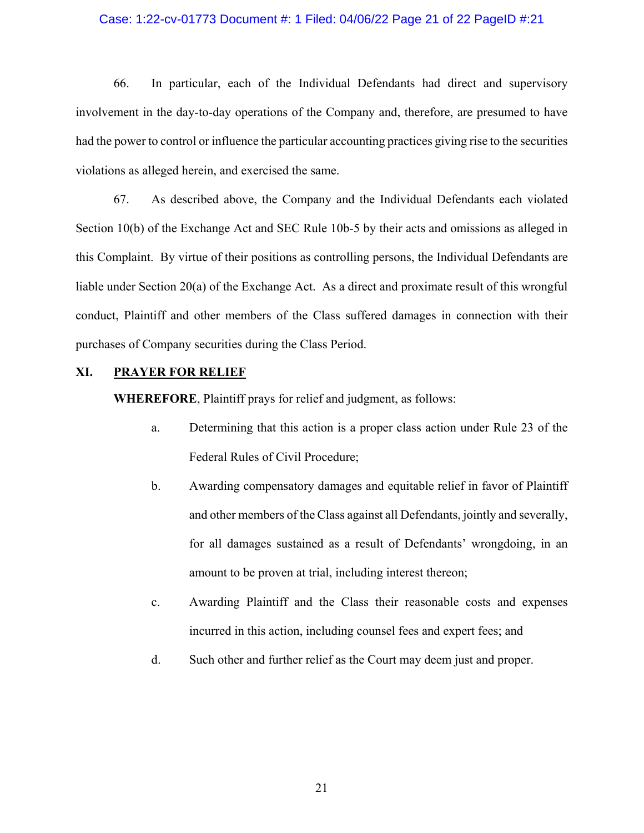#### Case: 1:22-cv-01773 Document #: 1 Filed: 04/06/22 Page 21 of 22 PageID #:21

66. In particular, each of the Individual Defendants had direct and supervisory involvement in the day-to-day operations of the Company and, therefore, are presumed to have had the power to control or influence the particular accounting practices giving rise to the securities violations as alleged herein, and exercised the same.

67. As described above, the Company and the Individual Defendants each violated Section 10(b) of the Exchange Act and SEC Rule 10b-5 by their acts and omissions as alleged in this Complaint. By virtue of their positions as controlling persons, the Individual Defendants are liable under Section 20(a) of the Exchange Act. As a direct and proximate result of this wrongful conduct, Plaintiff and other members of the Class suffered damages in connection with their purchases of Company securities during the Class Period.

## **XI. PRAYER FOR RELIEF**

**WHEREFORE**, Plaintiff prays for relief and judgment, as follows:

- a. Determining that this action is a proper class action under Rule 23 of the Federal Rules of Civil Procedure;
- b. Awarding compensatory damages and equitable relief in favor of Plaintiff and other members of the Class against all Defendants, jointly and severally, for all damages sustained as a result of Defendants' wrongdoing, in an amount to be proven at trial, including interest thereon;
- c. Awarding Plaintiff and the Class their reasonable costs and expenses incurred in this action, including counsel fees and expert fees; and
- d. Such other and further relief as the Court may deem just and proper.